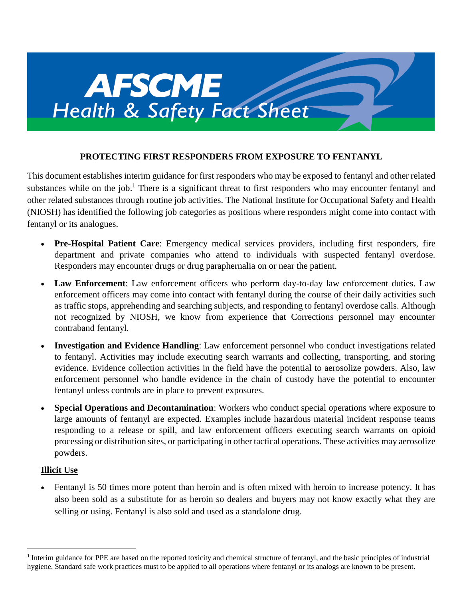

### **PROTECTING FIRST RESPONDERS FROM EXPOSURE TO FENTANYL**

This document establishes interim guidance for first responders who may be exposed to fentanyl and other related substances while on the job.<sup>1</sup> There is a significant threat to first responders who may encounter fentanyl and other related substances through routine job activities. The National Institute for Occupational Safety and Health (NIOSH) has identified the following job categories as positions where responders might come into contact with fentanyl or its analogues.

- **Pre-Hospital Patient Care**: Emergency medical services providers, including first responders, fire department and private companies who attend to individuals with suspected fentanyl overdose. Responders may encounter drugs or drug paraphernalia on or near the patient.
- **Law Enforcement**: Law enforcement officers who perform day-to-day law enforcement duties. Law enforcement officers may come into contact with fentanyl during the course of their daily activities such as traffic stops, apprehending and searching subjects, and responding to fentanyl overdose calls. Although not recognized by NIOSH, we know from experience that Corrections personnel may encounter contraband fentanyl.
- **Investigation and Evidence Handling**: Law enforcement personnel who conduct investigations related to fentanyl. Activities may include executing search warrants and collecting, transporting, and storing evidence. Evidence collection activities in the field have the potential to aerosolize powders. Also, law enforcement personnel who handle evidence in the chain of custody have the potential to encounter fentanyl unless controls are in place to prevent exposures.
- **Special Operations and Decontamination**: Workers who conduct special operations where exposure to large amounts of fentanyl are expected. Examples include hazardous material incident response teams responding to a release or spill, and law enforcement officers executing search warrants on opioid processing or distribution sites, or participating in other tactical operations. These activities may aerosolize powders.

### **Illicit Use**

 $\overline{a}$ 

• Fentanyl is 50 times more potent than heroin and is often mixed with heroin to increase potency. It has also been sold as a substitute for as heroin so dealers and buyers may not know exactly what they are selling or using. Fentanyl is also sold and used as a standalone drug.

<sup>&</sup>lt;sup>1</sup> Interim guidance for PPE are based on the reported toxicity and chemical structure of fentanyl, and the basic principles of industrial hygiene. Standard safe work practices must to be applied to all operations where fentanyl or its analogs are known to be present.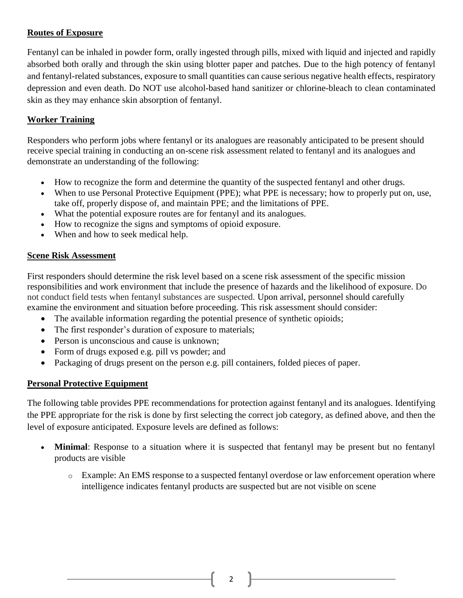### **Routes of Exposure**

Fentanyl can be inhaled in powder form, orally ingested through pills, mixed with liquid and injected and rapidly absorbed both orally and through the skin using blotter paper and patches. Due to the high potency of fentanyl and fentanyl-related substances, exposure to small quantities can cause serious negative health effects, respiratory depression and even death. Do NOT use alcohol-based hand sanitizer or chlorine-bleach to clean contaminated skin as they may enhance skin absorption of fentanyl.

# **Worker Training**

Responders who perform jobs where fentanyl or its analogues are reasonably anticipated to be present should receive special training in conducting an on-scene risk assessment related to fentanyl and its analogues and demonstrate an understanding of the following:

- How to recognize the form and determine the quantity of the suspected fentanyl and other drugs.
- When to use Personal Protective Equipment (PPE); what PPE is necessary; how to properly put on, use, take off, properly dispose of, and maintain PPE; and the limitations of PPE.
- What the potential exposure routes are for fentanyl and its analogues.
- How to recognize the signs and symptoms of opioid exposure.
- When and how to seek medical help.

### **Scene Risk Assessment**

First responders should determine the risk level based on a scene risk assessment of the specific mission responsibilities and work environment that include the presence of hazards and the likelihood of exposure. Do not conduct field tests when fentanyl substances are suspected. Upon arrival, personnel should carefully examine the environment and situation before proceeding. This risk assessment should consider:

- The available information regarding the potential presence of synthetic opioids;
- The first responder's duration of exposure to materials;
- Person is unconscious and cause is unknown;
- Form of drugs exposed e.g. pill vs powder; and
- Packaging of drugs present on the person e.g. pill containers, folded pieces of paper.

# **Personal Protective Equipment**

The following table provides PPE recommendations for protection against fentanyl and its analogues. Identifying the PPE appropriate for the risk is done by first selecting the correct job category, as defined above, and then the level of exposure anticipated. Exposure levels are defined as follows:

- **Minimal**: Response to a situation where it is suspected that fentanyl may be present but no fentanyl products are visible
	- o Example: An EMS response to a suspected fentanyl overdose or law enforcement operation where intelligence indicates fentanyl products are suspected but are not visible on scene

2  $\|$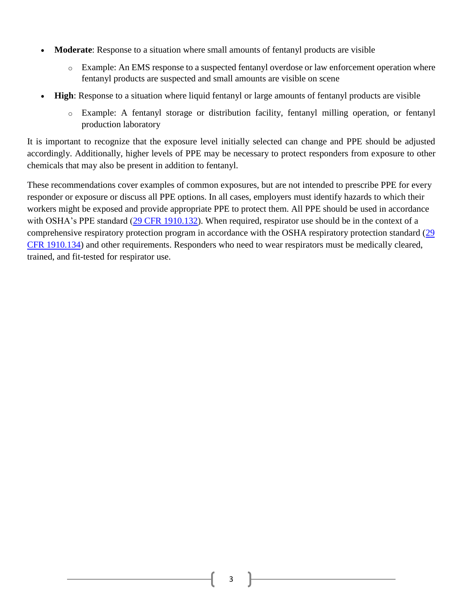- **Moderate**: Response to a situation where small amounts of fentanyl products are visible
	- o Example: An EMS response to a suspected fentanyl overdose or law enforcement operation where fentanyl products are suspected and small amounts are visible on scene
- **High**: Response to a situation where liquid fentanyl or large amounts of fentanyl products are visible
	- o Example: A fentanyl storage or distribution facility, fentanyl milling operation, or fentanyl production laboratory

It is important to recognize that the exposure level initially selected can change and PPE should be adjusted accordingly. Additionally, higher levels of PPE may be necessary to protect responders from exposure to other chemicals that may also be present in addition to fentanyl.

These recommendations cover examples of common exposures, but are not intended to prescribe PPE for every responder or exposure or discuss all PPE options. In all cases, employers must identify hazards to which their workers might be exposed and provide appropriate PPE to protect them. All PPE should be used in accordance with OSHA's PPE standard [\(29 CFR 1910.132\)](https://www.osha.gov/pls/oshaweb/owadisp.show_document?p_table=STANDARDS&p_id=9777). When required, respirator use should be in the context of a comprehensive respiratory protection program in accordance with the OSHA respiratory protection standard [\(29](https://www.osha.gov/pls/oshaweb/owadisp.show_document?p_table=STANDARDS&p_id=12716)  [CFR 1910.134\)](https://www.osha.gov/pls/oshaweb/owadisp.show_document?p_table=STANDARDS&p_id=12716) and other requirements. Responders who need to wear respirators must be medically cleared, trained, and fit-tested for respirator use.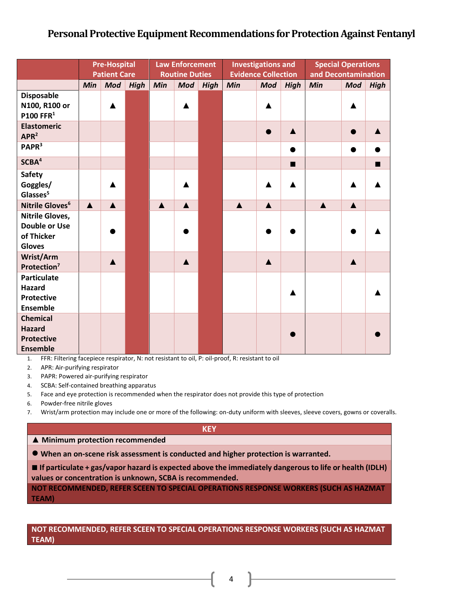# **Personal Protective Equipment Recommendations for Protection Against Fentanyl**

|                                                                               | <b>Pre-Hospital</b><br><b>Patient Care</b> |                  |             | <b>Law Enforcement</b><br><b>Routine Duties</b> |                  |             | <b>Investigations and</b><br><b>Evidence Collection</b> |                  |             | <b>Special Operations</b><br>and Decontamination |                  |             |
|-------------------------------------------------------------------------------|--------------------------------------------|------------------|-------------|-------------------------------------------------|------------------|-------------|---------------------------------------------------------|------------------|-------------|--------------------------------------------------|------------------|-------------|
|                                                                               | Min                                        | <b>Mod</b>       | <b>High</b> | Min                                             | <b>Mod</b>       | <b>High</b> | Min                                                     | <b>Mod</b>       | <b>High</b> | Min                                              | <b>Mod</b>       | <b>High</b> |
| <b>Disposable</b><br>N100, R100 or<br>P100 FFR $1$                            |                                            |                  |             |                                                 |                  |             |                                                         |                  |             |                                                  |                  |             |
| <b>Elastomeric</b><br>APR <sup>2</sup>                                        |                                            |                  |             |                                                 |                  |             |                                                         | ●                |             |                                                  | $\bullet$        |             |
| PAPR <sup>3</sup>                                                             |                                            |                  |             |                                                 |                  |             |                                                         |                  |             |                                                  | ●                |             |
| SCBA <sup>4</sup>                                                             |                                            |                  |             |                                                 |                  |             |                                                         |                  | П           |                                                  |                  | ٠           |
| Safety<br>Goggles/<br>Glasses <sup>5</sup>                                    |                                            |                  |             |                                                 |                  |             |                                                         |                  |             |                                                  |                  |             |
| Nitrile Gloves <sup>6</sup>                                                   | $\blacktriangle$                           | $\blacktriangle$ |             | $\blacktriangle$                                | $\blacktriangle$ |             | $\blacktriangle$                                        | $\blacktriangle$ |             | $\blacktriangle$                                 | $\blacktriangle$ |             |
| <b>Nitrile Gloves,</b><br><b>Double or Use</b><br>of Thicker<br><b>Gloves</b> |                                            |                  |             |                                                 |                  |             |                                                         |                  |             |                                                  |                  |             |
| Wrist/Arm<br>Protection <sup>7</sup>                                          |                                            |                  |             |                                                 | $\blacktriangle$ |             |                                                         | $\blacktriangle$ |             |                                                  | $\blacktriangle$ |             |
| <b>Particulate</b><br><b>Hazard</b><br><b>Protective</b><br><b>Ensemble</b>   |                                            |                  |             |                                                 |                  |             |                                                         |                  |             |                                                  |                  |             |
| <b>Chemical</b><br><b>Hazard</b><br><b>Protective</b><br><b>Ensemble</b>      |                                            |                  |             |                                                 |                  |             |                                                         |                  |             |                                                  |                  |             |

1. FFR: Filtering facepiece respirator, N: not resistant to oil, P: oil-proof, R: resistant to oil

2. APR: Air-purifying respirator

3. PAPR: Powered air-purifying respirator

4. SCBA: Self-contained breathing apparatus

5. Face and eye protection is recommended when the respirator does not provide this type of protection

6. Powder-free nitrile gloves

7. Wrist/arm protection may include one or more of the following: on-duty uniform with sleeves, sleeve covers, gowns or coveralls.

#### **KEY**

### **▲ Minimum protection recommended**

**● When an on-scene risk assessment is conducted and higher protection is warranted.**

■ If particulate + gas/vapor hazard is expected above the immediately dangerous to life or health (IDLH) **values or concentration is unknown, SCBA is recommended.**

**NOT RECOMMENDED, REFER SCEEN TO SPECIAL OPERATIONS RESPONSE WORKERS (SUCH AS HAZMAT TEAM)**

### **NOT RECOMMENDED, REFER SCEEN TO SPECIAL OPERATIONS RESPONSE WORKERS (SUCH AS HAZMAT TEAM)**

4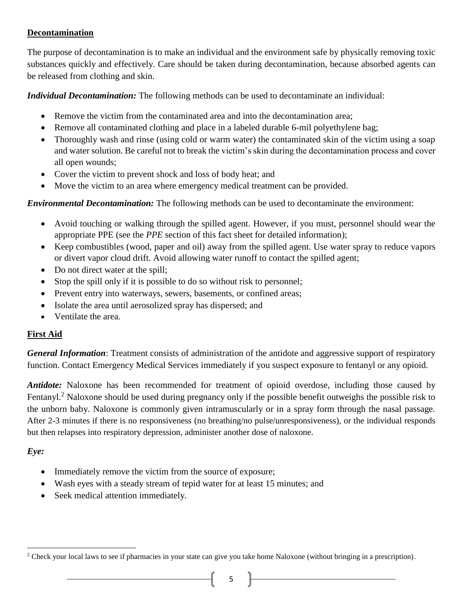### **Decontamination**

The purpose of decontamination is to make an individual and the environment safe by physically removing toxic substances quickly and effectively. Care should be taken during decontamination, because absorbed agents can be released from clothing and skin.

*Individual Decontamination:* The following methods can be used to decontaminate an individual:

- Remove the victim from the contaminated area and into the decontamination area;
- Remove all contaminated clothing and place in a labeled durable 6-mil polyethylene bag;
- Thoroughly wash and rinse (using cold or warm water) the contaminated skin of the victim using a soap and water solution. Be careful not to break the victim's skin during the decontamination process and cover all open wounds;
- Cover the victim to prevent shock and loss of body heat; and
- Move the victim to an area where emergency medical treatment can be provided.

*Environmental Decontamination:* The following methods can be used to decontaminate the environment:

- Avoid touching or walking through the spilled agent. However, if you must, personnel should wear the appropriate PPE (see the *PPE* section of this fact sheet for detailed information);
- Keep combustibles (wood, paper and oil) away from the spilled agent. Use water spray to reduce vapors or divert vapor cloud drift. Avoid allowing water runoff to contact the spilled agent;
- Do not direct water at the spill;
- Stop the spill only if it is possible to do so without risk to personnel;
- Prevent entry into waterways, sewers, basements, or confined areas;
- Isolate the area until aerosolized spray has dispersed; and
- Ventilate the area.

### **First Aid**

*General Information*: Treatment consists of administration of the antidote and aggressive support of respiratory function. Contact Emergency Medical Services immediately if you suspect exposure to fentanyl or any opioid.

*Antidote:* Naloxone has been recommended for treatment of opioid overdose, including those caused by Fentanyl.<sup>2</sup> Naloxone should be used during pregnancy only if the possible benefit outweighs the possible risk to the unborn baby. Naloxone is commonly given intramuscularly or in a spray form through the nasal passage. After 2-3 minutes if there is no responsiveness (no breathing/no pulse/unresponsiveness), or the individual responds but then relapses into respiratory depression, administer another dose of naloxone.

# *Eye:*

 $\overline{a}$ 

- Immediately remove the victim from the source of exposure;
- Wash eyes with a steady stream of tepid water for at least 15 minutes; and
- Seek medical attention immediately.

<sup>&</sup>lt;sup>2</sup> Check your local laws to see if pharmacies in your state can give you take home Naloxone (without bringing in a prescription).